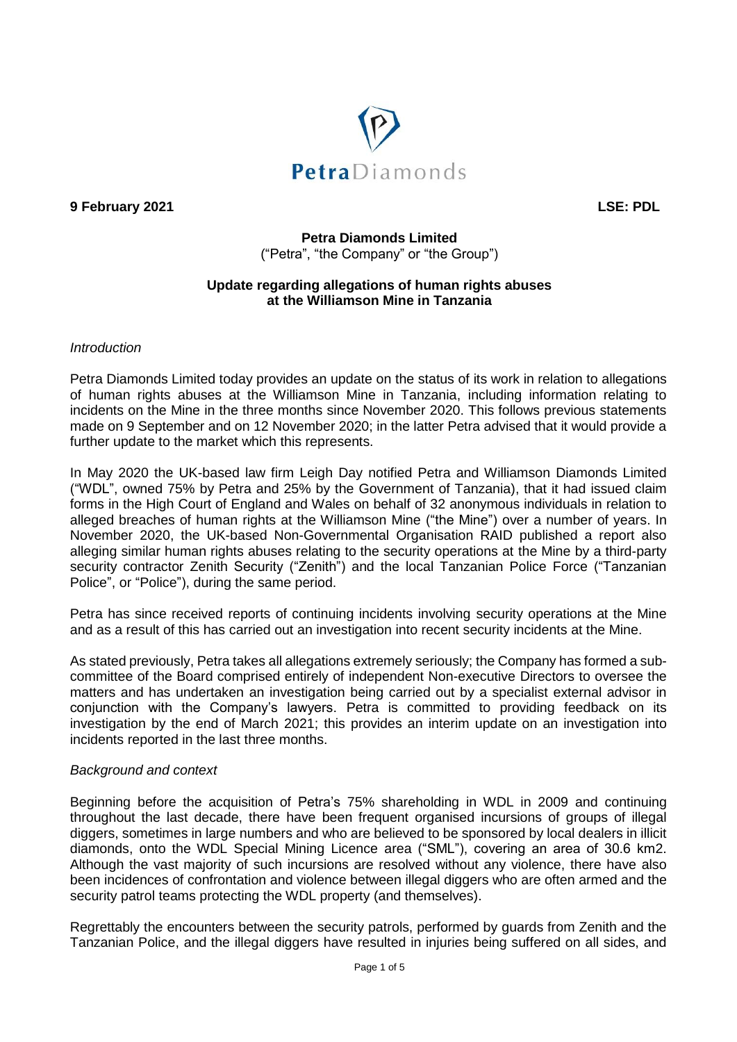

**9 February 2021 LSE: PDL**

# **Petra Diamonds Limited**  ("Petra", "the Company" or "the Group")

#### **Update regarding allegations of human rights abuses at the Williamson Mine in Tanzania**

#### *Introduction*

Petra Diamonds Limited today provides an update on the status of its work in relation to allegations of human rights abuses at the Williamson Mine in Tanzania, including information relating to incidents on the Mine in the three months since November 2020. This follows previous statements made on 9 September and on 12 November 2020; in the latter Petra advised that it would provide a further update to the market which this represents.

In May 2020 the UK-based law firm Leigh Day notified Petra and Williamson Diamonds Limited ("WDL", owned 75% by Petra and 25% by the Government of Tanzania), that it had issued claim forms in the High Court of England and Wales on behalf of 32 anonymous individuals in relation to alleged breaches of human rights at the Williamson Mine ("the Mine") over a number of years. In November 2020, the UK-based Non-Governmental Organisation RAID published a report also alleging similar human rights abuses relating to the security operations at the Mine by a third-party security contractor Zenith Security ("Zenith") and the local Tanzanian Police Force ("Tanzanian Police", or "Police"), during the same period.

Petra has since received reports of continuing incidents involving security operations at the Mine and as a result of this has carried out an investigation into recent security incidents at the Mine.

As stated previously, Petra takes all allegations extremely seriously; the Company has formed a subcommittee of the Board comprised entirely of independent Non-executive Directors to oversee the matters and has undertaken an investigation being carried out by a specialist external advisor in conjunction with the Company's lawyers. Petra is committed to providing feedback on its investigation by the end of March 2021; this provides an interim update on an investigation into incidents reported in the last three months.

#### *Background and context*

Beginning before the acquisition of Petra's 75% shareholding in WDL in 2009 and continuing throughout the last decade, there have been frequent organised incursions of groups of illegal diggers, sometimes in large numbers and who are believed to be sponsored by local dealers in illicit diamonds, onto the WDL Special Mining Licence area ("SML"), covering an area of 30.6 km2. Although the vast majority of such incursions are resolved without any violence, there have also been incidences of confrontation and violence between illegal diggers who are often armed and the security patrol teams protecting the WDL property (and themselves).

Regrettably the encounters between the security patrols, performed by guards from Zenith and the Tanzanian Police, and the illegal diggers have resulted in injuries being suffered on all sides, and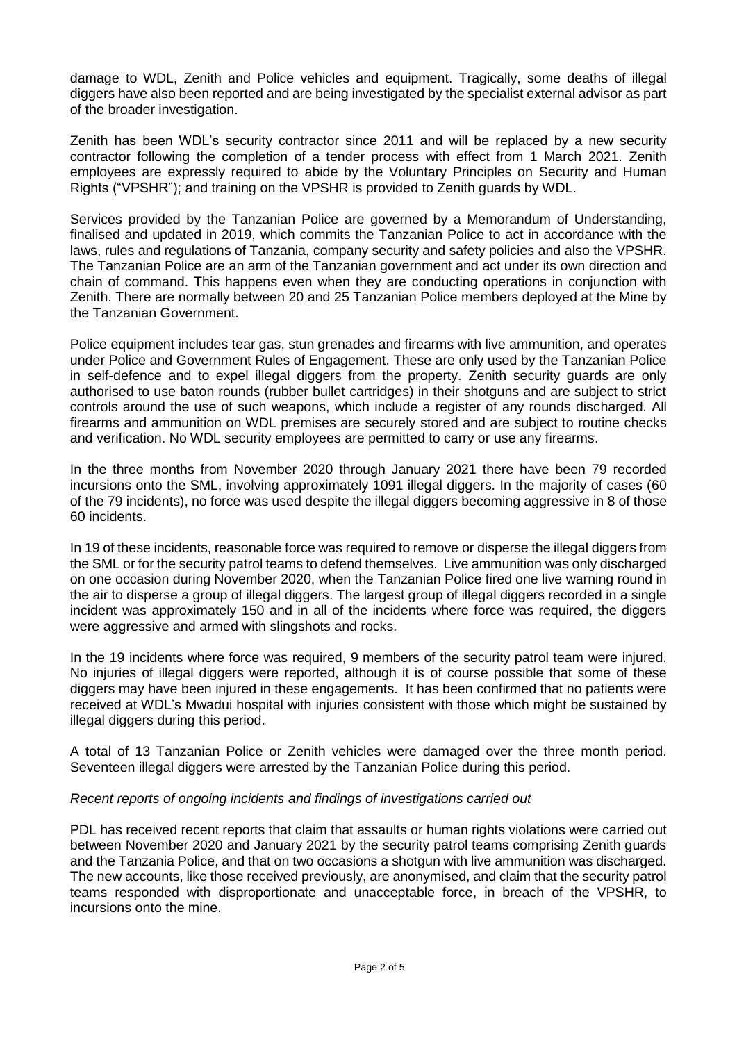damage to WDL, Zenith and Police vehicles and equipment. Tragically, some deaths of illegal diggers have also been reported and are being investigated by the specialist external advisor as part of the broader investigation.

Zenith has been WDL's security contractor since 2011 and will be replaced by a new security contractor following the completion of a tender process with effect from 1 March 2021. Zenith employees are expressly required to abide by the Voluntary Principles on Security and Human Rights ("VPSHR"); and training on the VPSHR is provided to Zenith guards by WDL.

Services provided by the Tanzanian Police are governed by a Memorandum of Understanding, finalised and updated in 2019, which commits the Tanzanian Police to act in accordance with the laws, rules and regulations of Tanzania, company security and safety policies and also the VPSHR. The Tanzanian Police are an arm of the Tanzanian government and act under its own direction and chain of command. This happens even when they are conducting operations in conjunction with Zenith. There are normally between 20 and 25 Tanzanian Police members deployed at the Mine by the Tanzanian Government.

Police equipment includes tear gas, stun grenades and firearms with live ammunition, and operates under Police and Government Rules of Engagement. These are only used by the Tanzanian Police in self-defence and to expel illegal diggers from the property. Zenith security guards are only authorised to use baton rounds (rubber bullet cartridges) in their shotguns and are subject to strict controls around the use of such weapons, which include a register of any rounds discharged. All firearms and ammunition on WDL premises are securely stored and are subject to routine checks and verification. No WDL security employees are permitted to carry or use any firearms.

In the three months from November 2020 through January 2021 there have been 79 recorded incursions onto the SML, involving approximately 1091 illegal diggers. In the majority of cases (60 of the 79 incidents), no force was used despite the illegal diggers becoming aggressive in 8 of those 60 incidents.

In 19 of these incidents, reasonable force was required to remove or disperse the illegal diggers from the SML or for the security patrol teams to defend themselves. Live ammunition was only discharged on one occasion during November 2020, when the Tanzanian Police fired one live warning round in the air to disperse a group of illegal diggers. The largest group of illegal diggers recorded in a single incident was approximately 150 and in all of the incidents where force was required, the diggers were aggressive and armed with slingshots and rocks.

In the 19 incidents where force was required, 9 members of the security patrol team were injured. No injuries of illegal diggers were reported, although it is of course possible that some of these diggers may have been injured in these engagements. It has been confirmed that no patients were received at WDL's Mwadui hospital with injuries consistent with those which might be sustained by illegal diggers during this period.

A total of 13 Tanzanian Police or Zenith vehicles were damaged over the three month period. Seventeen illegal diggers were arrested by the Tanzanian Police during this period.

## *Recent reports of ongoing incidents and findings of investigations carried out*

PDL has received recent reports that claim that assaults or human rights violations were carried out between November 2020 and January 2021 by the security patrol teams comprising Zenith guards and the Tanzania Police, and that on two occasions a shotgun with live ammunition was discharged. The new accounts, like those received previously, are anonymised, and claim that the security patrol teams responded with disproportionate and unacceptable force, in breach of the VPSHR, to incursions onto the mine.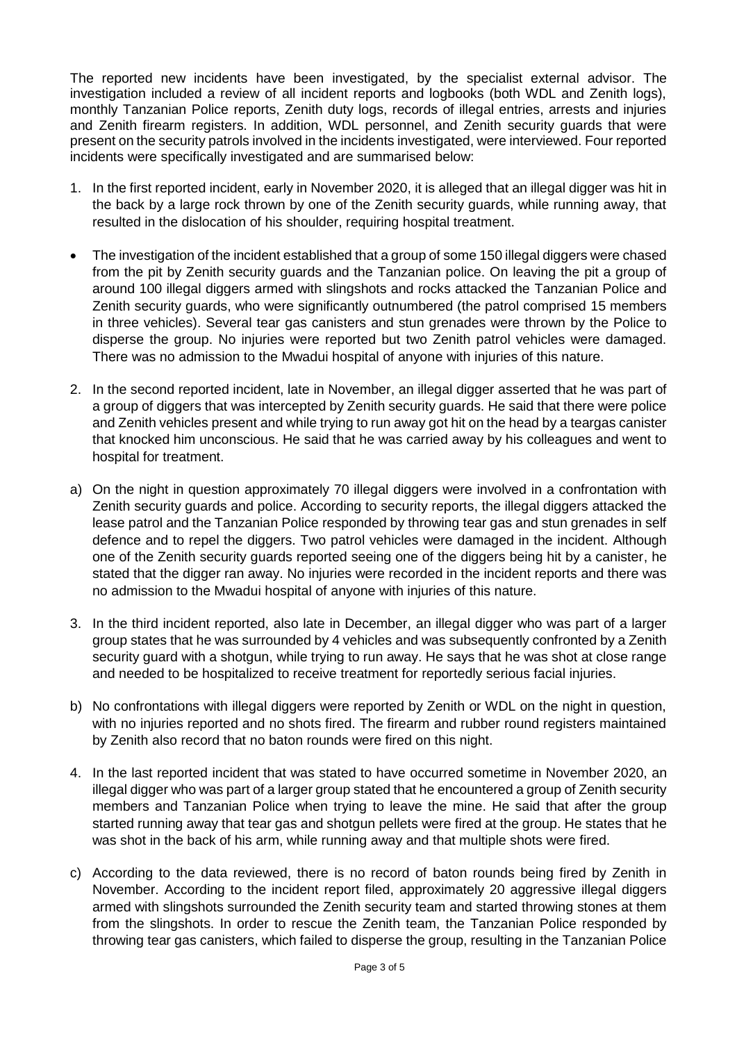The reported new incidents have been investigated, by the specialist external advisor. The investigation included a review of all incident reports and logbooks (both WDL and Zenith logs), monthly Tanzanian Police reports, Zenith duty logs, records of illegal entries, arrests and injuries and Zenith firearm registers. In addition, WDL personnel, and Zenith security guards that were present on the security patrols involved in the incidents investigated, were interviewed. Four reported incidents were specifically investigated and are summarised below:

- 1. In the first reported incident, early in November 2020, it is alleged that an illegal digger was hit in the back by a large rock thrown by one of the Zenith security guards, while running away, that resulted in the dislocation of his shoulder, requiring hospital treatment.
- The investigation of the incident established that a group of some 150 illegal diggers were chased from the pit by Zenith security guards and the Tanzanian police. On leaving the pit a group of around 100 illegal diggers armed with slingshots and rocks attacked the Tanzanian Police and Zenith security guards, who were significantly outnumbered (the patrol comprised 15 members in three vehicles). Several tear gas canisters and stun grenades were thrown by the Police to disperse the group. No injuries were reported but two Zenith patrol vehicles were damaged. There was no admission to the Mwadui hospital of anyone with injuries of this nature.
- 2. In the second reported incident, late in November, an illegal digger asserted that he was part of a group of diggers that was intercepted by Zenith security guards. He said that there were police and Zenith vehicles present and while trying to run away got hit on the head by a teargas canister that knocked him unconscious. He said that he was carried away by his colleagues and went to hospital for treatment.
- a) On the night in question approximately 70 illegal diggers were involved in a confrontation with Zenith security guards and police. According to security reports, the illegal diggers attacked the lease patrol and the Tanzanian Police responded by throwing tear gas and stun grenades in self defence and to repel the diggers. Two patrol vehicles were damaged in the incident. Although one of the Zenith security guards reported seeing one of the diggers being hit by a canister, he stated that the digger ran away. No injuries were recorded in the incident reports and there was no admission to the Mwadui hospital of anyone with injuries of this nature.
- 3. In the third incident reported, also late in December, an illegal digger who was part of a larger group states that he was surrounded by 4 vehicles and was subsequently confronted by a Zenith security guard with a shotgun, while trying to run away. He says that he was shot at close range and needed to be hospitalized to receive treatment for reportedly serious facial injuries.
- b) No confrontations with illegal diggers were reported by Zenith or WDL on the night in question, with no injuries reported and no shots fired. The firearm and rubber round registers maintained by Zenith also record that no baton rounds were fired on this night.
- 4. In the last reported incident that was stated to have occurred sometime in November 2020, an illegal digger who was part of a larger group stated that he encountered a group of Zenith security members and Tanzanian Police when trying to leave the mine. He said that after the group started running away that tear gas and shotgun pellets were fired at the group. He states that he was shot in the back of his arm, while running away and that multiple shots were fired.
- c) According to the data reviewed, there is no record of baton rounds being fired by Zenith in November. According to the incident report filed, approximately 20 aggressive illegal diggers armed with slingshots surrounded the Zenith security team and started throwing stones at them from the slingshots. In order to rescue the Zenith team, the Tanzanian Police responded by throwing tear gas canisters, which failed to disperse the group, resulting in the Tanzanian Police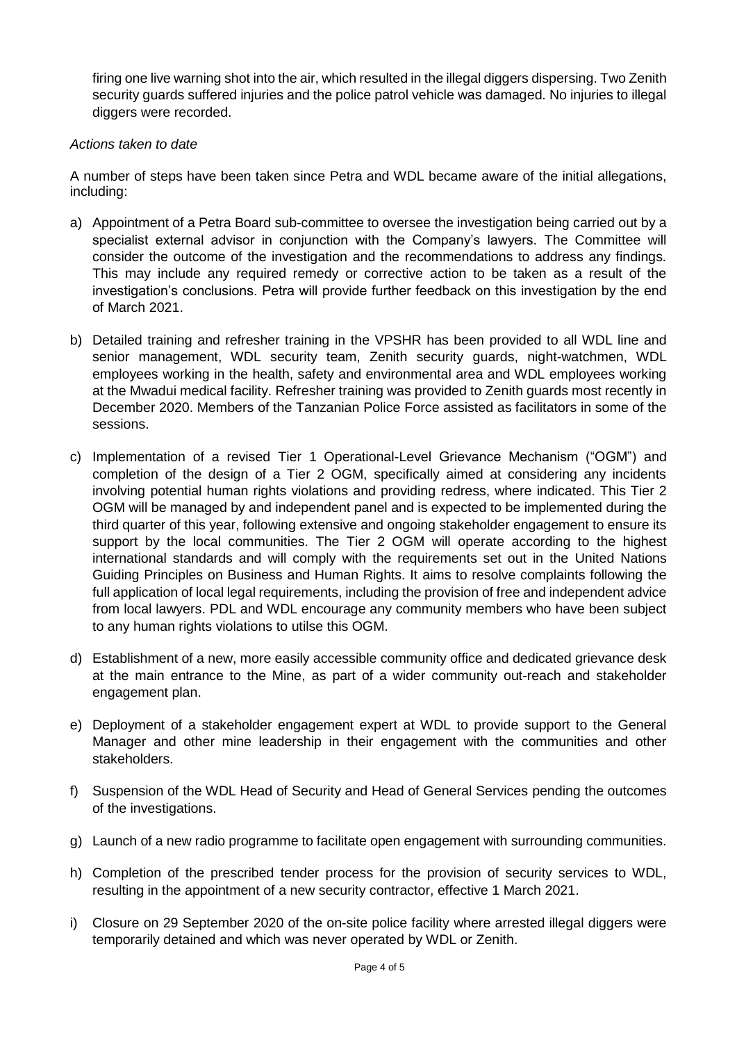firing one live warning shot into the air, which resulted in the illegal diggers dispersing. Two Zenith security guards suffered injuries and the police patrol vehicle was damaged. No injuries to illegal diggers were recorded.

## *Actions taken to date*

A number of steps have been taken since Petra and WDL became aware of the initial allegations, including:

- a) Appointment of a Petra Board sub-committee to oversee the investigation being carried out by a specialist external advisor in conjunction with the Company's lawyers. The Committee will consider the outcome of the investigation and the recommendations to address any findings. This may include any required remedy or corrective action to be taken as a result of the investigation's conclusions. Petra will provide further feedback on this investigation by the end of March 2021.
- b) Detailed training and refresher training in the VPSHR has been provided to all WDL line and senior management, WDL security team, Zenith security guards, night-watchmen, WDL employees working in the health, safety and environmental area and WDL employees working at the Mwadui medical facility. Refresher training was provided to Zenith guards most recently in December 2020. Members of the Tanzanian Police Force assisted as facilitators in some of the sessions.
- c) Implementation of a revised Tier 1 Operational-Level Grievance Mechanism ("OGM") and completion of the design of a Tier 2 OGM, specifically aimed at considering any incidents involving potential human rights violations and providing redress, where indicated. This Tier 2 OGM will be managed by and independent panel and is expected to be implemented during the third quarter of this year, following extensive and ongoing stakeholder engagement to ensure its support by the local communities. The Tier 2 OGM will operate according to the highest international standards and will comply with the requirements set out in the United Nations Guiding Principles on Business and Human Rights. It aims to resolve complaints following the full application of local legal requirements, including the provision of free and independent advice from local lawyers. PDL and WDL encourage any community members who have been subject to any human rights violations to utilse this OGM.
- d) Establishment of a new, more easily accessible community office and dedicated grievance desk at the main entrance to the Mine, as part of a wider community out-reach and stakeholder engagement plan.
- e) Deployment of a stakeholder engagement expert at WDL to provide support to the General Manager and other mine leadership in their engagement with the communities and other stakeholders.
- f) Suspension of the WDL Head of Security and Head of General Services pending the outcomes of the investigations.
- g) Launch of a new radio programme to facilitate open engagement with surrounding communities.
- h) Completion of the prescribed tender process for the provision of security services to WDL, resulting in the appointment of a new security contractor, effective 1 March 2021.
- i) Closure on 29 September 2020 of the on-site police facility where arrested illegal diggers were temporarily detained and which was never operated by WDL or Zenith.